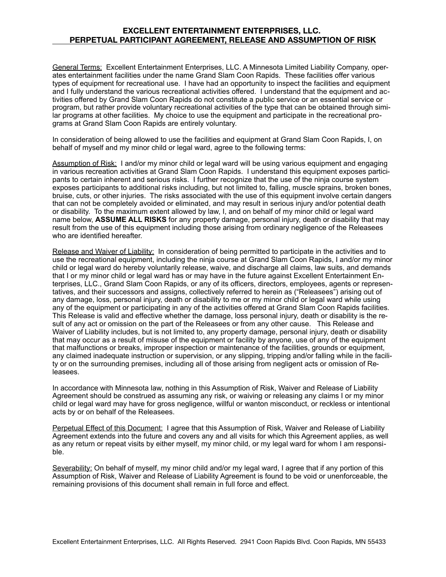## **EXCELLENT ENTERTAINMENT ENTERPRISES, LLC. PERPETUAL PARTICIPANT AGREEMENT, RELEASE AND ASSUMPTION OF RISK**

General Terms: Excellent Entertainment Enterprises, LLC. A Minnesota Limited Liability Company, operates entertainment facilities under the name Grand Slam Coon Rapids. These facilities offer various types of equipment for recreational use. I have had an opportunity to inspect the facilities and equipment and I fully understand the various recreational activities offered. I understand that the equipment and activities offered by Grand Slam Coon Rapids do not constitute a public service or an essential service or program, but rather provide voluntary recreational activities of the type that can be obtained through similar programs at other facilities. My choice to use the equipment and participate in the recreational programs at Grand Slam Coon Rapids are entirely voluntary.

In consideration of being allowed to use the facilities and equipment at Grand Slam Coon Rapids, I, on behalf of myself and my minor child or legal ward, agree to the following terms:

Assumption of Risk: I and/or my minor child or legal ward will be using various equipment and engaging in various recreation activities at Grand Slam Coon Rapids. I understand this equipment exposes participants to certain inherent and serious risks. I further recognize that the use of the ninja course system exposes participants to additional risks including, but not limited to, falling, muscle sprains, broken bones, bruise, cuts, or other injuries. The risks associated with the use of this equipment involve certain dangers that can not be completely avoided or eliminated, and may result in serious injury and/or potential death or disability. To the maximum extent allowed by law, I, and on behalf of my minor child or legal ward name below, **ASSUME ALL RISKS** for any property damage, personal injury, death or disability that may result from the use of this equipment including those arising from ordinary negligence of the Releasees who are identified hereafter.

Release and Waiver of Liability: In consideration of being permitted to participate in the activities and to use the recreational equipment, including the ninja course at Grand Slam Coon Rapids, I and/or my minor child or legal ward do hereby voluntarily release, waive, and discharge all claims, law suits, and demands that I or my minor child or legal ward has or may have in the future against Excellent Entertainment Enterprises, LLC., Grand Slam Coon Rapids, or any of its officers, directors, employees, agents or representatives, and their successors and assigns, collectively referred to herein as ("Releasees") arising out of any damage, loss, personal injury, death or disability to me or my minor child or legal ward while using any of the equipment or participating in any of the activities offered at Grand Slam Coon Rapids facilities. This Release is valid and effective whether the damage, loss personal injury, death or disability is the result of any act or omission on the part of the Releasees or from any other cause. This Release and Waiver of Liability includes, but is not limited to, any property damage, personal injury, death or disability that may occur as a result of misuse of the equipment or facility by anyone, use of any of the equipment that malfunctions or breaks, improper inspection or maintenance of the facilities, grounds or equipment, any claimed inadequate instruction or supervision, or any slipping, tripping and/or falling while in the facility or on the surrounding premises, including all of those arising from negligent acts or omission of Releasees.

In accordance with Minnesota law, nothing in this Assumption of Risk, Waiver and Release of Liability Agreement should be construed as assuming any risk, or waiving or releasing any claims I or my minor child or legal ward may have for gross negligence, willful or wanton misconduct, or reckless or intentional acts by or on behalf of the Releasees.

Perpetual Effect of this Document: I agree that this Assumption of Risk, Waiver and Release of Liability Agreement extends into the future and covers any and all visits for which this Agreement applies, as well as any return or repeat visits by either myself, my minor child, or my legal ward for whom I am responsible.

Severability: On behalf of myself, my minor child and/or my legal ward, I agree that if any portion of this Assumption of Risk, Waiver and Release of Liability Agreement is found to be void or unenforceable, the remaining provisions of this document shall remain in full force and effect.